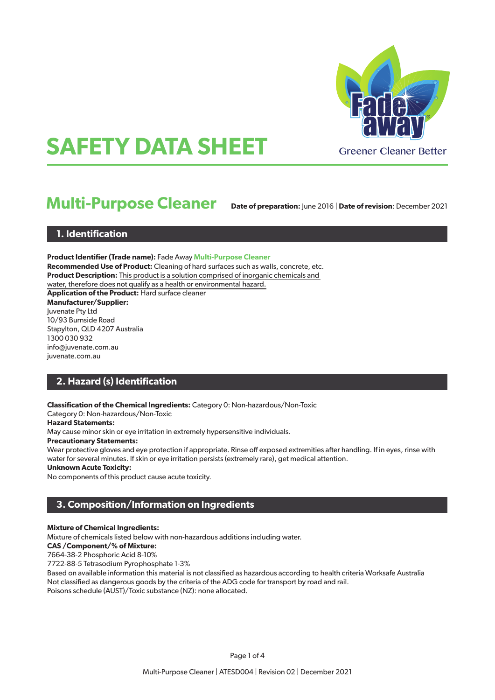

# **SAFETY DATA SHEET**

## **Multi-Purpose Cleaner**

**Date of preparation:** June 2016 | **Date of revision**: December 2021

## **1. Identification**

**Product Identifier (Trade name):** Fade Away **Multi-Purpose Cleaner Recommended Use of Product:** Cleaning of hard surfaces such as walls, concrete, etc. **Product Description:** This product is a solution comprised of inorganic chemicals and water, therefore does not qualify as a health or environmental hazard. **Application of the Product:** Hard surface cleaner **Manufacturer/Supplier:** Juvenate Pty Ltd 10/93 Burnside Road Stapylton, QLD 4207 Australia 1300 030 932 info@juvenate.com.au juvenate.com.au

## **2. Hazard (s) Identification**

**Classification of the Chemical Ingredients:** Category 0: Non-hazardous/Non-Toxic

Category 0: Non-hazardous/Non-Toxic

#### **Hazard Statements:**

May cause minor skin or eye irritation in extremely hypersensitive individuals.

#### **Precautionary Statements:**

Wear protective gloves and eye protection if appropriate. Rinse off exposed extremities after handling. If in eyes, rinse with water for several minutes. If skin or eye irritation persists (extremely rare), get medical attention.

#### **Unknown Acute Toxicity:**

No components of this product cause acute toxicity.

## **3. Composition/Information on Ingredients**

#### **Mixture of Chemical Ingredients:**

Mixture of chemicals listed below with non-hazardous additions including water.

#### **CAS /Component/% of Mixture:**

7664-38-2 Phosphoric Acid 8-10%

7722-88-5 Tetrasodium Pyrophosphate 1-3%

Based on available information this material is not classified as hazardous according to health criteria Worksafe Australia Not classified as dangerous goods by the criteria of the ADG code for transport by road and rail. Poisons schedule (AUST)/Toxic substance (NZ): none allocated.

Page 1 of 4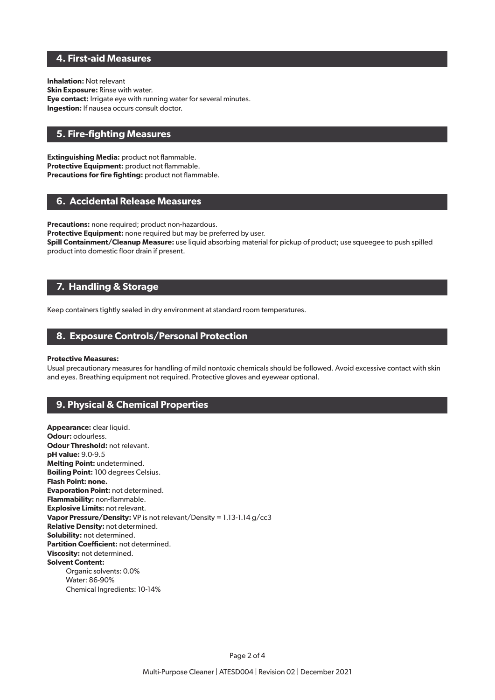## **4. First-aid Measures**

**Inhalation:** Not relevant **Skin Exposure:** Rinse with water. **Eye contact:** Irrigate eye with running water for several minutes. **Ingestion:** If nausea occurs consult doctor.

## **5. Fire-fighting Measures**

**Extinguishing Media:** product not flammable. **Protective Equipment:** product not flammable. **Precautions for fire fighting:** product not flammable.

## **6. Accidental Release Measures**

**Precautions:** none required; product non-hazardous.

**Protective Equipment:** none required but may be preferred by user.

**Spill Containment/Cleanup Measure:** use liquid absorbing material for pickup of product; use squeegee to push spilled product into domestic floor drain if present.

## **7. Handling & Storage**

Keep containers tightly sealed in dry environment at standard room temperatures.

## **8. Exposure Controls/Personal Protection**

#### **Protective Measures:**

Usual precautionary measures for handling of mild nontoxic chemicals should be followed. Avoid excessive contact with skin and eyes. Breathing equipment not required. Protective gloves and eyewear optional.

## **9. Physical & Chemical Properties**

**Appearance:** clear liquid. **Odour:** odourless. **Odour Threshold: not relevant. pH value:** 9.0-9.5 **Melting Point:** undetermined. **Boiling Point:** 100 degrees Celsius. **Flash Point: none. Evaporation Point:** not determined. **Flammability:** non-flammable. **Explosive Limits:** not relevant. **Vapor Pressure/Density:** VP is not relevant/Density = 1.13-1.14 g/cc3 **Relative Density:** not determined. **Solubility:** not determined. **Partition Coefficient:** not determined. **Viscosity:** not determined. **Solvent Content:** Organic solvents: 0.0% Water: 86-90% Chemical Ingredients: 10-14%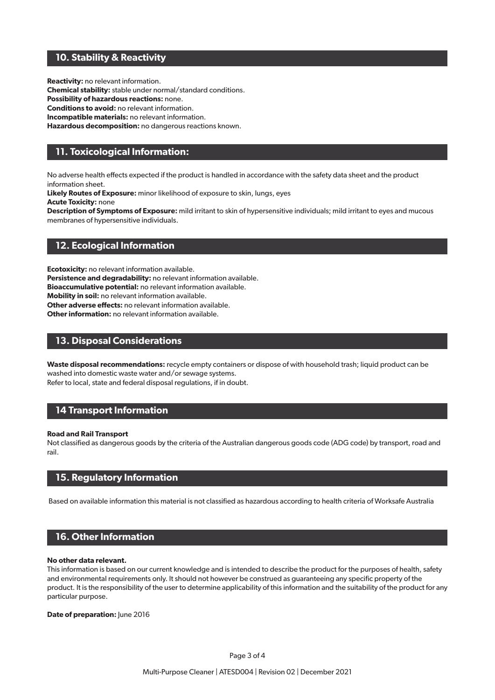## **10. Stability & Reactivity**

**Reactivity:** no relevant information.

**Chemical stability:** stable under normal/standard conditions.

**Possibility of hazardous reactions:** none.

**Conditions to avoid:** no relevant information.

**Incompatible materials:** no relevant information.

**Hazardous decomposition:** no dangerous reactions known.

## **11. Toxicological Information:**

No adverse health effects expected if the product is handled in accordance with the safety data sheet and the product information sheet.

**Likely Routes of Exposure:** minor likelihood of exposure to skin, lungs, eyes

**Acute Toxicity:** none

**Description of Symptoms of Exposure:** mild irritant to skin of hypersensitive individuals; mild irritant to eyes and mucous membranes of hypersensitive individuals.

## **12. Ecological Information**

**Ecotoxicity:** no relevant information available.

**Persistence and degradability:** no relevant information available.

**Bioaccumulative potential:** no relevant information available.

**Mobility in soil:** no relevant information available.

**Other adverse effects:** no relevant information available.

**Other information:** no relevant information available.

## **13. Disposal Considerations**

**Waste disposal recommendations:** recycle empty containers or dispose of with household trash; liquid product can be washed into domestic waste water and/or sewage systems. Refer to local, state and federal disposal regulations, if in doubt.

## **14 Transport Information**

#### **Road and Rail Transport**

Not classified as dangerous goods by the criteria of the Australian dangerous goods code (ADG code) by transport, road and rail.

## **15. Regulatory Information**

Based on available information this material is not classified as hazardous according to health criteria of Worksafe Australia

## **16. Other Information**

#### **No other data relevant.**

This information is based on our current knowledge and is intended to describe the product for the purposes of health, safety and environmental requirements only. It should not however be construed as guaranteeing any specific property of the product. It is the responsibility of the user to determine applicability of this information and the suitability of the product for any particular purpose.

**Date of preparation:** June 2016

Page 3 of 4